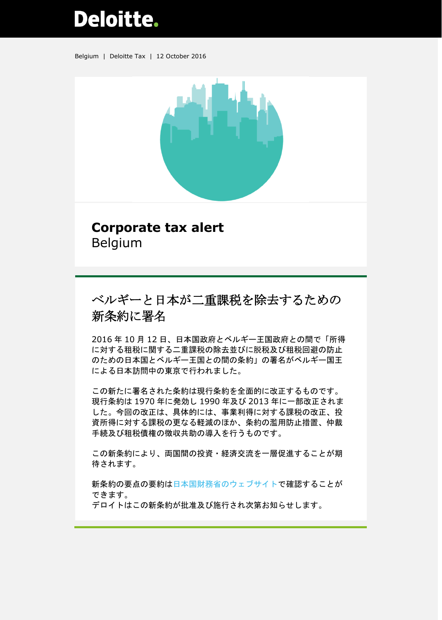## **Deloitte.**

Belgium | Deloitte Tax | 12 October 2016



## **Corporate tax alert** Belgium

## ベルギーと日本が二重課税を除去するための 新条約に署名

2016 年 10 月 12 日、日本国政府とベルギー王国政府との間で「所得 に対する租税に関する二重課税の除去並びに脱税及び租税回避の防止 のための日本国とベルギー王国との間の条約」の署名がベルギー国王 による日本訪問中の東京で行われました。

この新たに署名された条約は現行条約を全面的に改正するものです。 現行条約は 1970 年に発効し 1990 年及び 2013 年に一部改正されま した。今回の改正は、具体的には、事業利得に対する課税の改正、投 資所得に対する課税の更なる軽減のほか、条約の濫用防止措置、仲裁 手続及び租税債権の徴収共助の導入を行うものです。

この新条約により、両国間の投資・経済交流を一層促進することが期 待されます。

新条約の要点の要約[は日本国財務省のウェブサイトで](http://www.mof.go.jp/tax_policy/summary/international/press_release/20161012be_pt.htm)確認することが できます。

デロイトはこの新条約が批准及び施行され次第お知らせします。